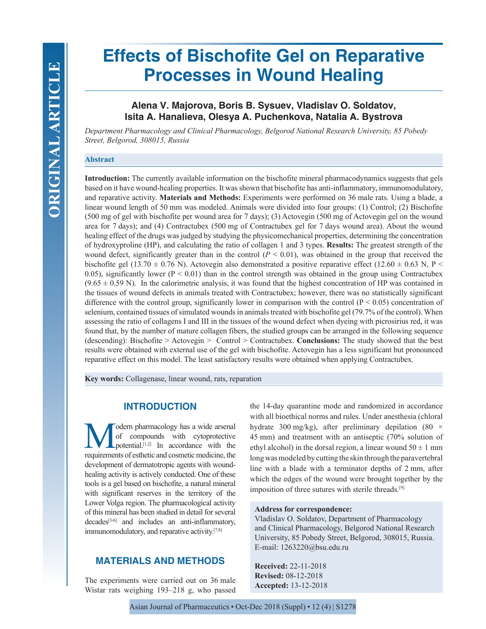# **Effects of Bischofite Gel on Reparative Processes in Wound Healing**

# **Alena V. Majorova, Boris B. Sysuev, Vladislav O. Soldatov, Isita A. Hanalieva, Olesya A. Puchenkova, Natalia A. Bystrova**

*Department Pharmacology and Clinical Pharmacology, Belgorod National Research University, 85 Pobedy Street, Belgorod, 308015, Russia*

#### **Abstract**

**Introduction:** The currently available information on the bischofite mineral pharmacodynamics suggests that gels based on it have wound-healing properties. It was shown that bischofite has anti-inflammatory, immunomodulatory, and reparative activity. **Materials and Methods:** Experiments were performed on 36 male rats. Using a blade, a linear wound length of 50 mm was modeled. Animals were divided into four groups: (1) Control; (2) Bischofite (500 mg of gel with bischofite per wound area for 7 days); (3) Actovegin (500 mg of Actovegin gel on the wound area for 7 days); and (4) Contractubex (500 mg of Contractubex gel for 7 days wound area). About the wound healing effect of the drugs was judged by studying the physicomechanical properties, determining the concentration of hydroxyproline (HP), and calculating the ratio of collagen 1 and 3 types. **Results:** The greatest strength of the wound defect, significantly greater than in the control  $(P < 0.01)$ , was obtained in the group that received the bischofite gel (13.70  $\pm$  0.76 N). Actovegin also demonstrated a positive reparative effect (12.60  $\pm$  0.63 N, P  $\le$ 0.05), significantly lower ( $P < 0.01$ ) than in the control strength was obtained in the group using Contractubex  $(9.65 \pm 0.59 \text{ N})$ . In the calorimetric analysis, it was found that the highest concentration of HP was contained in the tissues of wound defects in animals treated with Contractubex; however, there was no statistically significant difference with the control group, significantly lower in comparison with the control  $(P < 0.05)$  concentration of selenium, contained tissues of simulated wounds in animals treated with bischofite gel (79.7% of the control). When assessing the ratio of collagens I and III in the tissues of the wound defect when dyeing with picrosirius red, it was found that, by the number of mature collagen fibers, the studied groups can be arranged in the following sequence (descending): Bischofite > Actovegin > Control > Contractubex. **Conclusions:** The study showed that the best results were obtained with external use of the gel with bischofite. Actovegin has a less significant but pronounced reparative effect on this model. The least satisfactory results were obtained when applying Contractubex.

**Key words:** Collagenase, linear wound, rats, reparation

# **INTRODUCTION**

Modern pharmacology has a wide arsenal<br>of compounds with cytoprotective<br>potential.<sup>[1,2]</sup> In accordance with the<br>requirements of esthetic and cosmetic medicine the of compounds with cytoprotective potential.[1,2] In accordance with the requirements of esthetic and cosmetic medicine, the development of dermatotropic agents with woundhealing activity is actively conducted. One of these tools is a gel based on bischofite, a natural mineral with significant reserves in the territory of the Lower Volga region. The pharmacological activity of this mineral has been studied in detail for several  $decades^{[3-6]}$  and includes an anti-inflammatory, immunomodulatory, and reparative activity.[7,8]

# **MATERIALS AND METHODS**

The experiments were carried out on 36 male Wistar rats weighing 193–218 g, who passed the 14-day quarantine mode and randomized in accordance with all bioethical norms and rules. Under anesthesia (chloral hydrate 300 mg/kg), after preliminary depilation (80  $\times$ 45 mm) and treatment with an antiseptic (70% solution of ethyl alcohol) in the dorsal region, a linear wound  $50 \pm 1$  mm long was modeled by cutting the skin through the paravertebral line with a blade with a terminator depths of 2 mm, after which the edges of the wound were brought together by the imposition of three sutures with sterile threads.[9]

#### **Address for correspondence:**

Vladislav O. Soldatov, Department of Pharmacology and Clinical Pharmacology, Belgorod National Research University, 85 Pobedy Street, Belgorod, 308015, Russia. E-mail: 1263220@bsu.edu.ru

**Received:** 22-11-2018 **Revised:** 08-12-2018 **Accepted:** 13-12-2018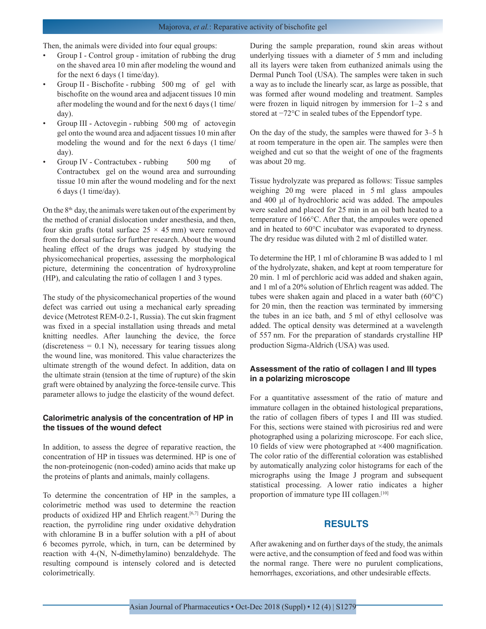Then, the animals were divided into four equal groups:

- Group I Control group imitation of rubbing the drug on the shaved area 10 min after modeling the wound and for the next 6 days (1 time/day).
- Group II Bischofite rubbing 500 mg of gel with bischofite on the wound area and adjacent tissues 10 min after modeling the wound and for the next 6 days (1 time/ day).
- Group III Actovegin rubbing 500 mg of actovegin gel onto the wound area and adjacent tissues 10 min after modeling the wound and for the next 6 days (1 time/ day).
- Group IV Contractubex rubbing 500 mg of Contractubex gel on the wound area and surrounding tissue 10 min after the wound modeling and for the next 6 days (1 time/day).

On the  $8<sup>th</sup>$  day, the animals were taken out of the experiment by the method of cranial dislocation under anesthesia, and then, four skin grafts (total surface  $25 \times 45$  mm) were removed from the dorsal surface for further research. About the wound healing effect of the drugs was judged by studying the physicomechanical properties, assessing the morphological picture, determining the concentration of hydroxyproline (HP), and calculating the ratio of collagen 1 and 3 types.

The study of the physicomechanical properties of the wound defect was carried out using a mechanical early spreading device (Metrotest REM-0.2-1, Russia). The cut skin fragment was fixed in a special installation using threads and metal knitting needles. After launching the device, the force  $(discreteness = 0.1 N)$ , necessary for tearing tissues along the wound line, was monitored. This value characterizes the ultimate strength of the wound defect. In addition, data on the ultimate strain (tension at the time of rupture) of the skin graft were obtained by analyzing the force-tensile curve. This parameter allows to judge the elasticity of the wound defect.

## **Calorimetric analysis of the concentration of HP in the tissues of the wound defect**

In addition, to assess the degree of reparative reaction, the concentration of HP in tissues was determined. HP is one of the non-proteinogenic (non-coded) amino acids that make up the proteins of plants and animals, mainly collagens.

To determine the concentration of HP in the samples, a colorimetric method was used to determine the reaction products of oxidized HP and Ehrlich reagent.<sup>[6,7]</sup> During the reaction, the pyrrolidine ring under oxidative dehydration with chloramine B in a buffer solution with a pH of about 6 becomes pyrrole, which, in turn, can be determined by reaction with 4-(N, N-dimethylamino) benzaldehyde. The resulting compound is intensely colored and is detected colorimetrically.

During the sample preparation, round skin areas without underlying tissues with a diameter of 5 mm and including all its layers were taken from euthanized animals using the Dermal Punch Tool (USA). The samples were taken in such a way as to include the linearly scar, as large as possible, that was formed after wound modeling and treatment. Samples were frozen in liquid nitrogen by immersion for 1–2 s and stored at −72°C in sealed tubes of the Eppendorf type.

On the day of the study, the samples were thawed for 3–5 h at room temperature in the open air. The samples were then weighed and cut so that the weight of one of the fragments was about 20 mg.

Tissue hydrolyzate was prepared as follows: Tissue samples weighing 20 mg were placed in 5 ml glass ampoules and 400 μl of hydrochloric acid was added. The ampoules were sealed and placed for 25 min in an oil bath heated to a temperature of 166°C. After that, the ampoules were opened and in heated to 60°C incubator was evaporated to dryness. The dry residue was diluted with 2 ml of distilled water.

To determine the HP, 1 ml of chloramine B was added to 1 ml of the hydrolyzate, shaken, and kept at room temperature for 20 min. 1 ml of perchloric acid was added and shaken again, and 1 ml of a 20% solution of Ehrlich reagent was added. The tubes were shaken again and placed in a water bath (60°C) for 20 min, then the reaction was terminated by immersing the tubes in an ice bath, and 5 ml of ethyl cellosolve was added. The optical density was determined at a wavelength of 557 nm. For the preparation of standards crystalline HP production Sigma-Aldrich (USA) was used.

## **Assessment of the ratio of collagen I and III types in a polarizing microscope**

For a quantitative assessment of the ratio of mature and immature collagen in the obtained histological preparations, the ratio of collagen fibers of types I and III was studied. For this, sections were stained with picrosirius red and were photographed using a polarizing microscope. For each slice, 10 fields of view were photographed at ×400 magnification. The color ratio of the differential coloration was established by automatically analyzing color histograms for each of the micrographs using the Image J program and subsequent statistical processing. A lower ratio indicates a higher proportion of immature type III collagen.<sup>[10]</sup>

#### **RESULTS**

After awakening and on further days of the study, the animals were active, and the consumption of feed and food was within the normal range. There were no purulent complications, hemorrhages, excoriations, and other undesirable effects.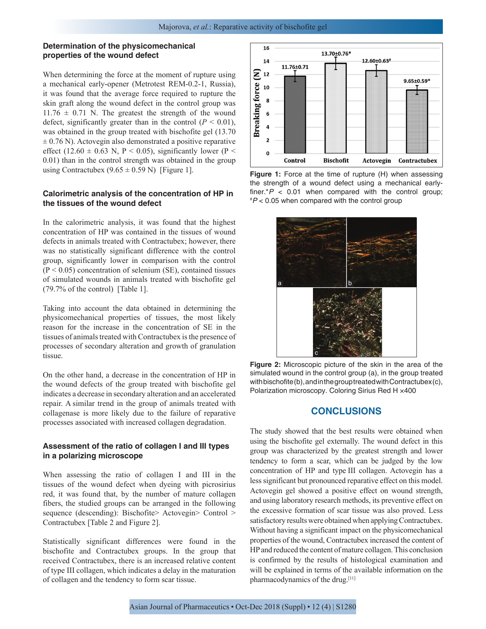#### **Determination of the physicomechanical properties of the wound defect**

When determining the force at the moment of rupture using a mechanical early-opener (Metrotest REM-0.2-1, Russia), it was found that the average force required to rupture the skin graft along the wound defect in the control group was  $11.76 \pm 0.71$  N. The greatest the strength of the wound defect, significantly greater than in the control  $(P < 0.01)$ , was obtained in the group treated with bischofite gel (13.70  $\pm$  0.76 N). Actovegin also demonstrated a positive reparative effect (12.60  $\pm$  0.63 N, P < 0.05), significantly lower (P < 0.01) than in the control strength was obtained in the group using Contractubex  $(9.65 \pm 0.59 \text{ N})$  [Figure 1].

## **Calorimetric analysis of the concentration of HP in the tissues of the wound defect**

In the calorimetric analysis, it was found that the highest concentration of HP was contained in the tissues of wound defects in animals treated with Contractubex; however, there was no statistically significant difference with the control group, significantly lower in comparison with the control  $(P < 0.05)$  concentration of selenium (SE), contained tissues of simulated wounds in animals treated with bischofite gel (79.7% of the control) [Table 1].

Taking into account the data obtained in determining the physicomechanical properties of tissues, the most likely reason for the increase in the concentration of SE in the tissues of animals treated with Contractubex is the presence of processes of secondary alteration and growth of granulation tissue.

On the other hand, a decrease in the concentration of HP in the wound defects of the group treated with bischofite gel indicates a decrease in secondary alteration and an accelerated repair. A similar trend in the group of animals treated with collagenase is more likely due to the failure of reparative processes associated with increased collagen degradation.

#### **Assessment of the ratio of collagen I and III types in a polarizing microscope**

When assessing the ratio of collagen I and III in the tissues of the wound defect when dyeing with picrosirius red, it was found that, by the number of mature collagen fibers, the studied groups can be arranged in the following sequence (descending): Bischofite> Actovegin> Control > Contractubex [Table 2 and Figure 2].

Statistically significant differences were found in the bischofite and Contractubex groups. In the group that received Contractubex, there is an increased relative content of type III collagen, which indicates a delay in the maturation of collagen and the tendency to form scar tissue.



**Figure 1:** Force at the time of rupture (H) when assessing the strength of a wound defect using a mechanical earlyfiner.\* $P$  < 0.01 when compared with the control group; # *P* < 0.05 when compared with the control group



**Figure 2:** Microscopic picture of the skin in the area of the simulated wound in the control group (a), in the group treated with bischofite (b), and in the group treated with Contractubex (c), Polarization microscopy. Coloring Sirius Red H ×400

# **CONCLUSIONS**

The study showed that the best results were obtained when using the bischofite gel externally. The wound defect in this group was characterized by the greatest strength and lower tendency to form a scar, which can be judged by the low concentration of HP and type III collagen. Actovegin has a less significant but pronounced reparative effect on this model. Actovegin gel showed a positive effect on wound strength, and using laboratory research methods, its preventive effect on the excessive formation of scar tissue was also proved. Less satisfactory results were obtained when applying Contractubex. Without having a significant impact on the physicomechanical properties of the wound, Contractubex increased the content of HP and reduced the content of mature collagen. This conclusion is confirmed by the results of histological examination and will be explained in terms of the available information on the pharmacodynamics of the drug.[11]